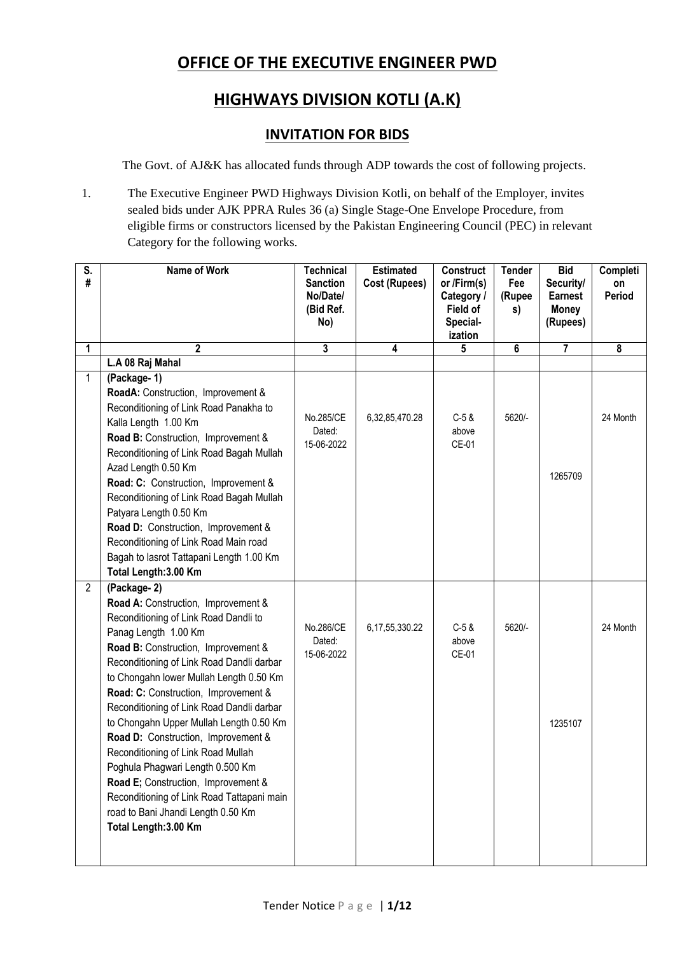## **OFFICE OF THE EXECUTIVE ENGINEER PWD**

## **HIGHWAYS DIVISION KOTLI (A.K)**

## **INVITATION FOR BIDS**

The Govt. of AJ&K has allocated funds through ADP towards the cost of following projects.

1. The Executive Engineer PWD Highways Division Kotli, on behalf of the Employer, invites sealed bids under AJK PPRA Rules 36 (a) Single Stage-One Envelope Procedure, from eligible firms or constructors licensed by the Pakistan Engineering Council (PEC) in relevant Category for the following works.

| S.<br>#        | Name of Work                                                                                                                                                                                                                                                                                                                                                                                                                                                                                                                                                                                                                                            | <b>Technical</b><br><b>Sanction</b><br>No/Date/<br>(Bid Ref.<br>No) | <b>Estimated</b><br>Cost (Rupees) | <b>Construct</b><br>or /Firm(s)<br>Category /<br>Field of<br>Special-<br>ization | <b>Tender</b><br>Fee<br>(Rupee<br>s) | <b>Bid</b><br>Security/<br><b>Earnest</b><br><b>Money</b><br>(Rupees) | Completi<br>on<br>Period |
|----------------|---------------------------------------------------------------------------------------------------------------------------------------------------------------------------------------------------------------------------------------------------------------------------------------------------------------------------------------------------------------------------------------------------------------------------------------------------------------------------------------------------------------------------------------------------------------------------------------------------------------------------------------------------------|---------------------------------------------------------------------|-----------------------------------|----------------------------------------------------------------------------------|--------------------------------------|-----------------------------------------------------------------------|--------------------------|
| 1              | $\mathbf 2$                                                                                                                                                                                                                                                                                                                                                                                                                                                                                                                                                                                                                                             | 3                                                                   | 4                                 | 5                                                                                | 6                                    | 7                                                                     | 8                        |
|                | L.A 08 Raj Mahal                                                                                                                                                                                                                                                                                                                                                                                                                                                                                                                                                                                                                                        |                                                                     |                                   |                                                                                  |                                      |                                                                       |                          |
| $\mathbf{1}$   | (Package-1)<br>RoadA: Construction, Improvement &<br>Reconditioning of Link Road Panakha to<br>Kalla Length 1.00 Km<br>Road B: Construction, Improvement &<br>Reconditioning of Link Road Bagah Mullah<br>Azad Length 0.50 Km<br>Road: C: Construction, Improvement &<br>Reconditioning of Link Road Bagah Mullah<br>Patyara Length 0.50 Km<br>Road D: Construction, Improvement &<br>Reconditioning of Link Road Main road<br>Bagah to lasrot Tattapani Length 1.00 Km<br>Total Length: 3.00 Km                                                                                                                                                        | No.285/CE<br>Dated:<br>15-06-2022                                   | 6,32,85,470.28                    | $C-5$ &<br>above<br>CE-01                                                        | 5620/-                               | 1265709                                                               | 24 Month                 |
| $\overline{2}$ | (Package-2)<br>Road A: Construction, Improvement &<br>Reconditioning of Link Road Dandli to<br>Panag Length 1.00 Km<br>Road B: Construction, Improvement &<br>Reconditioning of Link Road Dandli darbar<br>to Chongahn lower Mullah Length 0.50 Km<br>Road: C: Construction, Improvement &<br>Reconditioning of Link Road Dandli darbar<br>to Chongahn Upper Mullah Length 0.50 Km<br>Road D: Construction, Improvement &<br>Reconditioning of Link Road Mullah<br>Poghula Phagwari Length 0.500 Km<br>Road E; Construction, Improvement &<br>Reconditioning of Link Road Tattapani main<br>road to Bani Jhandi Length 0.50 Km<br>Total Length: 3.00 Km | No.286/CE<br>Dated:<br>15-06-2022                                   | 6, 17, 55, 330. 22                | $C-5$ &<br>above<br>CE-01                                                        | 5620/-                               | 1235107                                                               | 24 Month                 |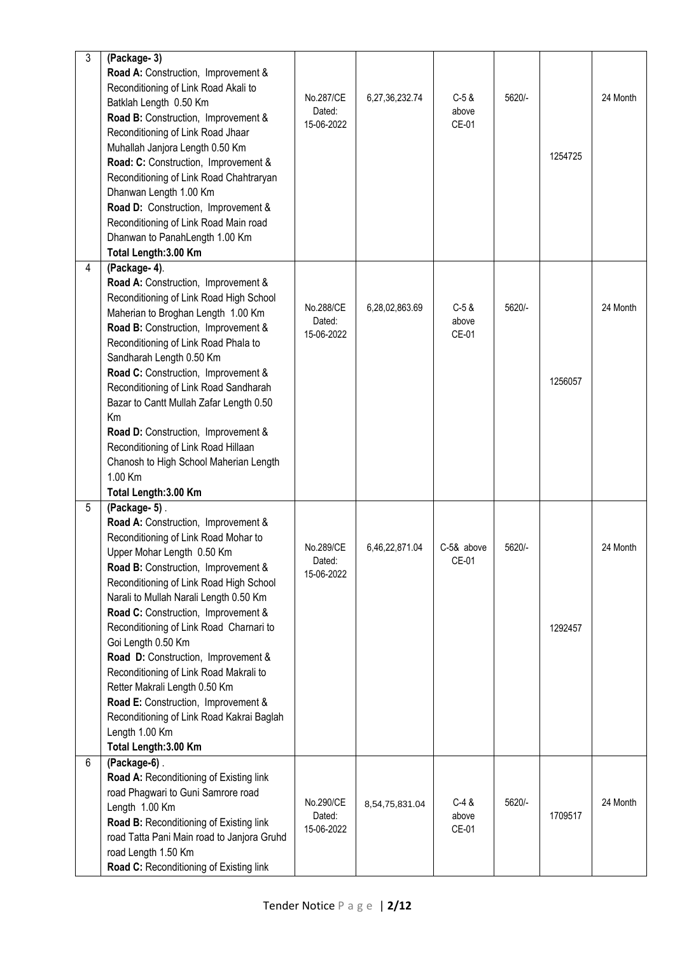| 3 | (Package-3)                                |                      |                |            |        |         |          |
|---|--------------------------------------------|----------------------|----------------|------------|--------|---------|----------|
|   | Road A: Construction, Improvement &        |                      |                |            |        |         |          |
|   | Reconditioning of Link Road Akali to       |                      |                |            |        |         |          |
|   | Batklah Length 0.50 Km                     | No.287/CE            | 6,27,36,232.74 | $C-5$ &    | 5620/- |         | 24 Month |
|   | Road B: Construction, Improvement &        | Dated:               |                | above      |        |         |          |
|   | Reconditioning of Link Road Jhaar          | 15-06-2022           |                | CE-01      |        |         |          |
|   | Muhallah Janjora Length 0.50 Km            |                      |                |            |        |         |          |
|   |                                            |                      |                |            |        | 1254725 |          |
|   | Road: C: Construction, Improvement &       |                      |                |            |        |         |          |
|   | Reconditioning of Link Road Chahtraryan    |                      |                |            |        |         |          |
|   | Dhanwan Length 1.00 Km                     |                      |                |            |        |         |          |
|   | Road D: Construction, Improvement &        |                      |                |            |        |         |          |
|   | Reconditioning of Link Road Main road      |                      |                |            |        |         |          |
|   | Dhanwan to PanahLength 1.00 Km             |                      |                |            |        |         |          |
|   | Total Length: 3.00 Km                      |                      |                |            |        |         |          |
| 4 | (Package-4).                               |                      |                |            |        |         |          |
|   | Road A: Construction, Improvement &        |                      |                |            |        |         |          |
|   | Reconditioning of Link Road High School    |                      |                |            |        |         |          |
|   | Maherian to Broghan Length 1.00 Km         | No.288/CE            | 6,28,02,863.69 | $C-5$ &    | 5620/- |         | 24 Month |
|   | Road B: Construction, Improvement &        | Dated:               |                | above      |        |         |          |
|   | Reconditioning of Link Road Phala to       | 15-06-2022           |                | CE-01      |        |         |          |
|   | Sandharah Length 0.50 Km                   |                      |                |            |        |         |          |
|   | Road C: Construction, Improvement &        |                      |                |            |        |         |          |
|   | Reconditioning of Link Road Sandharah      |                      |                |            |        | 1256057 |          |
|   |                                            |                      |                |            |        |         |          |
|   | Bazar to Cantt Mullah Zafar Length 0.50    |                      |                |            |        |         |          |
|   | Km                                         |                      |                |            |        |         |          |
|   | Road D: Construction, Improvement &        |                      |                |            |        |         |          |
|   | Reconditioning of Link Road Hillaan        |                      |                |            |        |         |          |
|   | Chanosh to High School Maherian Length     |                      |                |            |        |         |          |
|   | 1.00 Km                                    |                      |                |            |        |         |          |
|   | Total Length: 3.00 Km                      |                      |                |            |        |         |          |
| 5 | $(Package-5)$ .                            |                      |                |            |        |         |          |
|   | Road A: Construction, Improvement &        |                      |                |            |        |         |          |
|   | Reconditioning of Link Road Mohar to       |                      |                |            |        |         |          |
|   | Upper Mohar Length 0.50 Km                 | No.289/CE            | 6,46,22,871.04 | C-5& above | 5620/- |         | 24 Month |
|   | Road B: Construction, Improvement &        | Dated:<br>15-06-2022 |                | CE-01      |        |         |          |
|   | Reconditioning of Link Road High School    |                      |                |            |        |         |          |
|   | Narali to Mullah Narali Length 0.50 Km     |                      |                |            |        |         |          |
|   | Road C: Construction, Improvement &        |                      |                |            |        |         |          |
|   | Reconditioning of Link Road Charnari to    |                      |                |            |        | 1292457 |          |
|   | Goi Length 0.50 Km                         |                      |                |            |        |         |          |
|   | Road D: Construction, Improvement &        |                      |                |            |        |         |          |
|   | Reconditioning of Link Road Makrali to     |                      |                |            |        |         |          |
|   | Retter Makrali Length 0.50 Km              |                      |                |            |        |         |          |
|   | Road E: Construction, Improvement &        |                      |                |            |        |         |          |
|   | Reconditioning of Link Road Kakrai Baglah  |                      |                |            |        |         |          |
|   | Length 1.00 Km                             |                      |                |            |        |         |          |
|   | Total Length: 3.00 Km                      |                      |                |            |        |         |          |
| 6 | (Package-6).                               |                      |                |            |        |         |          |
|   |                                            |                      |                |            |        |         |          |
|   | Road A: Reconditioning of Existing link    |                      |                |            |        |         |          |
|   | road Phagwari to Guni Samrore road         | No.290/CE            | 8,54,75,831.04 | $C-4$ &    | 5620/- |         | 24 Month |
|   | Length 1.00 Km                             | Dated:               |                | above      |        | 1709517 |          |
|   | Road B: Reconditioning of Existing link    | 15-06-2022           |                | CE-01      |        |         |          |
|   | road Tatta Pani Main road to Janjora Gruhd |                      |                |            |        |         |          |
|   | road Length 1.50 Km                        |                      |                |            |        |         |          |
|   | Road C: Reconditioning of Existing link    |                      |                |            |        |         |          |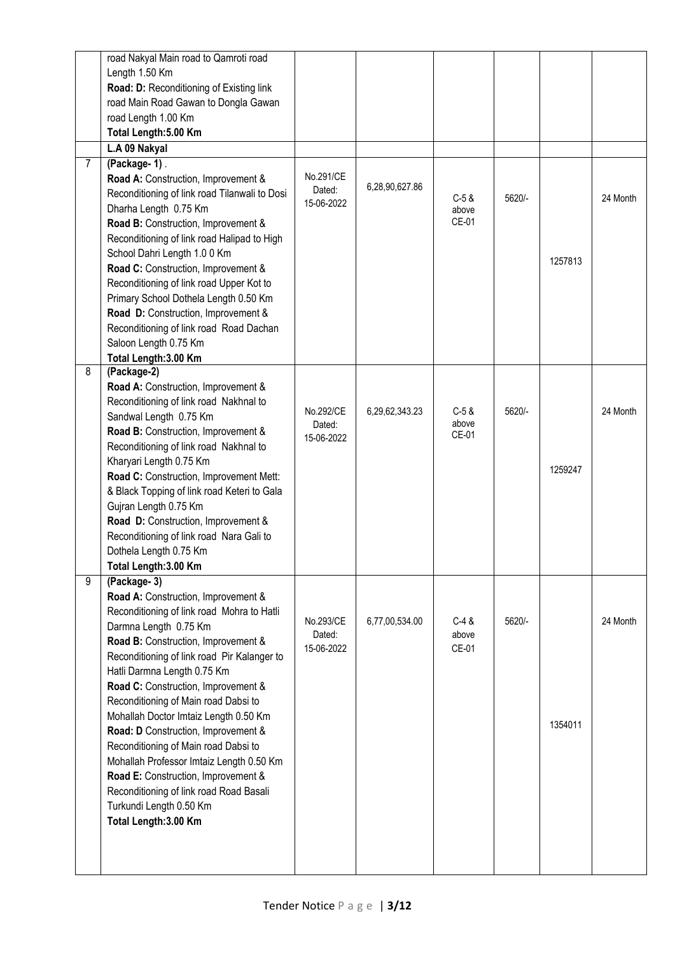|                | road Nakyal Main road to Qamroti road         |                     |                |                |        |         |          |
|----------------|-----------------------------------------------|---------------------|----------------|----------------|--------|---------|----------|
|                | Length 1.50 Km                                |                     |                |                |        |         |          |
|                | Road: D: Reconditioning of Existing link      |                     |                |                |        |         |          |
|                | road Main Road Gawan to Dongla Gawan          |                     |                |                |        |         |          |
|                | road Length 1.00 Km                           |                     |                |                |        |         |          |
|                | Total Length: 5.00 Km                         |                     |                |                |        |         |          |
|                |                                               |                     |                |                |        |         |          |
|                | L.A 09 Nakyal                                 |                     |                |                |        |         |          |
| $\overline{7}$ | (Package-1).                                  |                     |                |                |        |         |          |
|                | Road A: Construction, Improvement &           | No.291/CE<br>Dated: | 6,28,90,627.86 |                |        |         |          |
|                | Reconditioning of link road Tilanwali to Dosi | 15-06-2022          |                | $C-5$ &        | 5620/- |         | 24 Month |
|                | Dharha Length 0.75 Km                         |                     |                | above          |        |         |          |
|                | Road B: Construction, Improvement &           |                     |                | CE-01          |        |         |          |
|                | Reconditioning of link road Halipad to High   |                     |                |                |        |         |          |
|                | School Dahri Length 1.0 0 Km                  |                     |                |                |        | 1257813 |          |
|                | Road C: Construction, Improvement &           |                     |                |                |        |         |          |
|                | Reconditioning of link road Upper Kot to      |                     |                |                |        |         |          |
|                | Primary School Dothela Length 0.50 Km         |                     |                |                |        |         |          |
|                | Road D: Construction, Improvement &           |                     |                |                |        |         |          |
|                | Reconditioning of link road Road Dachan       |                     |                |                |        |         |          |
|                | Saloon Length 0.75 Km                         |                     |                |                |        |         |          |
|                | Total Length: 3.00 Km                         |                     |                |                |        |         |          |
| 8              | (Package-2)                                   |                     |                |                |        |         |          |
|                | Road A: Construction, Improvement &           |                     |                |                |        |         |          |
|                | Reconditioning of link road Nakhnal to        |                     |                |                |        |         |          |
|                | Sandwal Length 0.75 Km                        | No.292/CE           | 6,29,62,343.23 | $C-5$ &        | 5620/- |         | 24 Month |
|                | Road B: Construction, Improvement &           | Dated:              |                | above<br>CE-01 |        |         |          |
|                | Reconditioning of link road Nakhnal to        | 15-06-2022          |                |                |        |         |          |
|                | Kharyari Length 0.75 Km                       |                     |                |                |        |         |          |
|                | Road C: Construction, Improvement Mett:       |                     |                |                |        | 1259247 |          |
|                | & Black Topping of link road Keteri to Gala   |                     |                |                |        |         |          |
|                | Gujran Length 0.75 Km                         |                     |                |                |        |         |          |
|                | Road D: Construction, Improvement &           |                     |                |                |        |         |          |
|                | Reconditioning of link road Nara Gali to      |                     |                |                |        |         |          |
|                |                                               |                     |                |                |        |         |          |
|                | Dothela Length 0.75 Km                        |                     |                |                |        |         |          |
|                | Total Length: 3.00 Km                         |                     |                |                |        |         |          |
| 9              | (Package-3)                                   |                     |                |                |        |         |          |
|                | Road A: Construction, Improvement &           |                     |                |                |        |         |          |
|                | Reconditioning of link road Mohra to Hatli    | No.293/CE           | 6,77,00,534.00 | $C-4$ &        | 5620/- |         | 24 Month |
|                | Darmna Length 0.75 Km                         | Dated:              |                | above          |        |         |          |
|                | Road B: Construction, Improvement &           | 15-06-2022          |                | CE-01          |        |         |          |
|                | Reconditioning of link road Pir Kalanger to   |                     |                |                |        |         |          |
|                | Hatli Darmna Length 0.75 Km                   |                     |                |                |        |         |          |
|                | Road C: Construction, Improvement &           |                     |                |                |        |         |          |
|                | Reconditioning of Main road Dabsi to          |                     |                |                |        |         |          |
|                | Mohallah Doctor Imtaiz Length 0.50 Km         |                     |                |                |        | 1354011 |          |
|                | Road: D Construction, Improvement &           |                     |                |                |        |         |          |
|                | Reconditioning of Main road Dabsi to          |                     |                |                |        |         |          |
|                | Mohallah Professor Imtaiz Length 0.50 Km      |                     |                |                |        |         |          |
|                | Road E: Construction, Improvement &           |                     |                |                |        |         |          |
|                | Reconditioning of link road Road Basali       |                     |                |                |        |         |          |
|                | Turkundi Length 0.50 Km                       |                     |                |                |        |         |          |
|                | Total Length: 3.00 Km                         |                     |                |                |        |         |          |
|                |                                               |                     |                |                |        |         |          |
|                |                                               |                     |                |                |        |         |          |
|                |                                               |                     |                |                |        |         |          |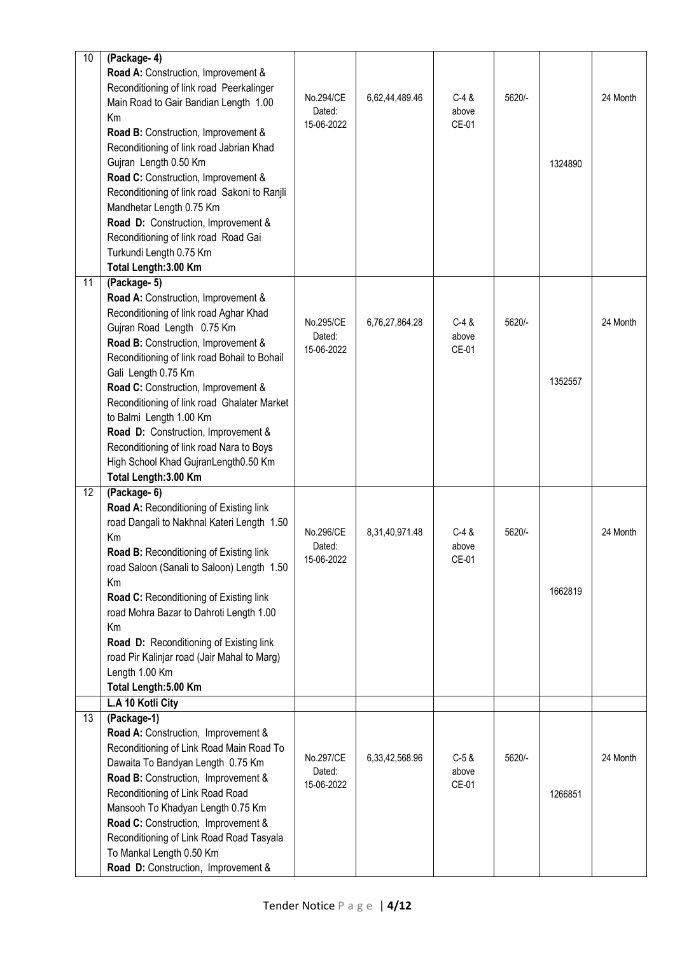| 10 | (Package-4)                                                                        |                      |                |                |        |         |          |
|----|------------------------------------------------------------------------------------|----------------------|----------------|----------------|--------|---------|----------|
|    | Road A: Construction, Improvement &                                                |                      |                |                |        |         |          |
|    | Reconditioning of link road Peerkalinger                                           | No.294/CE            | 6,62,44,489.46 | $C-4$ &        | 5620/- |         | 24 Month |
|    | Main Road to Gair Bandian Length 1.00                                              | Dated:               |                | above          |        |         |          |
|    | Km                                                                                 | 15-06-2022           |                | CE-01          |        |         |          |
|    | Road B: Construction, Improvement &                                                |                      |                |                |        |         |          |
|    | Reconditioning of link road Jabrian Khad                                           |                      |                |                |        |         |          |
|    | Gujran Length 0.50 Km                                                              |                      |                |                |        | 1324890 |          |
|    | Road C: Construction, Improvement &                                                |                      |                |                |        |         |          |
|    | Reconditioning of link road Sakoni to Ranjli                                       |                      |                |                |        |         |          |
|    | Mandhetar Length 0.75 Km<br>Road D: Construction, Improvement &                    |                      |                |                |        |         |          |
|    | Reconditioning of link road Road Gai                                               |                      |                |                |        |         |          |
|    | Turkundi Length 0.75 Km                                                            |                      |                |                |        |         |          |
|    | Total Length: 3.00 Km                                                              |                      |                |                |        |         |          |
| 11 | (Package- 5)                                                                       |                      |                |                |        |         |          |
|    | Road A: Construction, Improvement &                                                |                      |                |                |        |         |          |
|    | Reconditioning of link road Aghar Khad                                             |                      |                |                |        |         |          |
|    | Gujran Road Length 0.75 Km                                                         | No.295/CE            | 6,76,27,864.28 | $C-4$ &        | 5620/- |         | 24 Month |
|    | Road B: Construction, Improvement &                                                | Dated:               |                | above          |        |         |          |
|    | Reconditioning of link road Bohail to Bohail                                       | 15-06-2022           |                | CE-01          |        |         |          |
|    | Gali Length 0.75 Km                                                                |                      |                |                |        |         |          |
|    | Road C: Construction, Improvement &                                                |                      |                |                |        | 1352557 |          |
|    | Reconditioning of link road Ghalater Market                                        |                      |                |                |        |         |          |
|    | to Balmi Length 1.00 Km                                                            |                      |                |                |        |         |          |
|    | Road D: Construction, Improvement &                                                |                      |                |                |        |         |          |
|    | Reconditioning of link road Nara to Boys                                           |                      |                |                |        |         |          |
|    | High School Khad GujranLength0.50 Km                                               |                      |                |                |        |         |          |
|    | Total Length: 3.00 Km                                                              |                      |                |                |        |         |          |
| 12 | (Package- 6)                                                                       |                      |                |                |        |         |          |
|    | Road A: Reconditioning of Existing link                                            |                      |                |                |        |         |          |
|    | road Dangali to Nakhnal Kateri Length 1.50                                         | No.296/CE            | 8,31,40,971.48 | $C-4$ &        | 5620/- |         | 24 Month |
|    | Km                                                                                 | Dated:               |                | above          |        |         |          |
|    | <b>Road B: Reconditioning of Existing link</b>                                     | 15-06-2022           |                | CE-01          |        |         |          |
|    | road Saloon (Sanali to Saloon) Length 1.50                                         |                      |                |                |        |         |          |
|    | Km                                                                                 |                      |                |                |        | 1662819 |          |
|    | Road C: Reconditioning of Existing link<br>road Mohra Bazar to Dahroti Length 1.00 |                      |                |                |        |         |          |
|    | Km                                                                                 |                      |                |                |        |         |          |
|    | Road D: Reconditioning of Existing link                                            |                      |                |                |        |         |          |
|    | road Pir Kalinjar road (Jair Mahal to Marg)                                        |                      |                |                |        |         |          |
|    | Length 1.00 Km                                                                     |                      |                |                |        |         |          |
|    | Total Length: 5.00 Km                                                              |                      |                |                |        |         |          |
|    | L.A 10 Kotli City                                                                  |                      |                |                |        |         |          |
| 13 | (Package-1)                                                                        |                      |                |                |        |         |          |
|    | Road A: Construction, Improvement &                                                |                      |                |                |        |         |          |
|    | Reconditioning of Link Road Main Road To                                           |                      |                |                |        |         |          |
|    | Dawaita To Bandyan Length 0.75 Km                                                  | No.297/CE            | 6,33,42,568.96 | $C-5$ &        | 5620/- |         | 24 Month |
|    | Road B: Construction, Improvement &                                                | Dated:<br>15-06-2022 |                | above<br>CE-01 |        |         |          |
|    | Reconditioning of Link Road Road                                                   |                      |                |                |        | 1266851 |          |
|    | Mansooh To Khadyan Length 0.75 Km                                                  |                      |                |                |        |         |          |
|    | Road C: Construction, Improvement &                                                |                      |                |                |        |         |          |
|    | Reconditioning of Link Road Road Tasyala                                           |                      |                |                |        |         |          |
|    | To Mankal Length 0.50 Km                                                           |                      |                |                |        |         |          |
|    | Road D: Construction, Improvement &                                                |                      |                |                |        |         |          |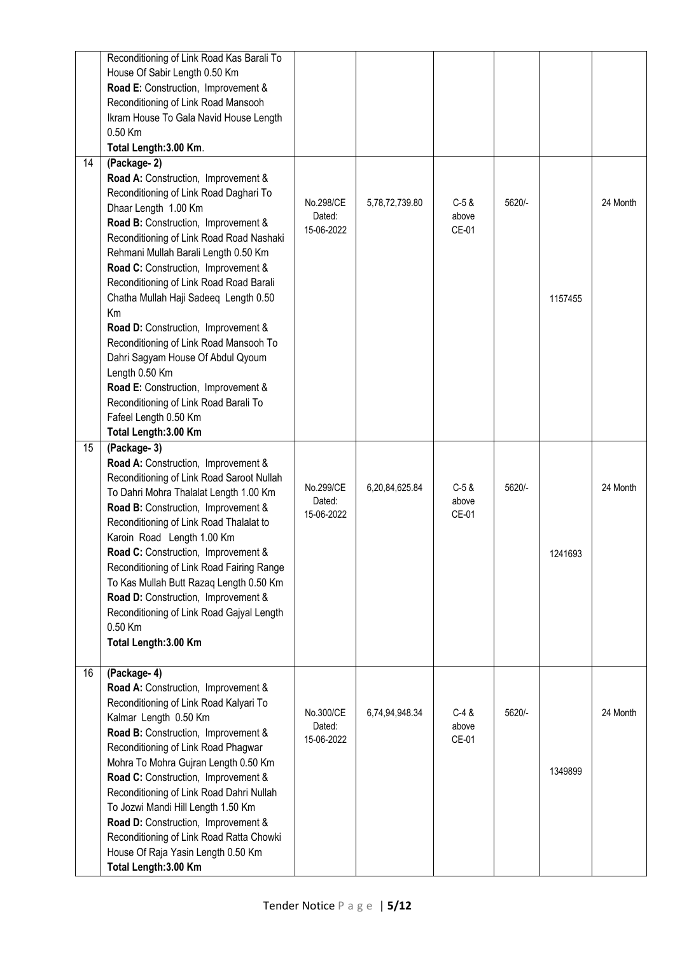|                 | Reconditioning of Link Road Kas Barali To<br>House Of Sabir Length 0.50 Km<br>Road E: Construction, Improvement &<br>Reconditioning of Link Road Mansooh<br>Ikram House To Gala Navid House Length<br>0.50 Km<br>Total Length: 3.00 Km.                                                                                                                                                                                                                                                                                                                                                                                                                    |                                   |                |                           |        |         |          |
|-----------------|------------------------------------------------------------------------------------------------------------------------------------------------------------------------------------------------------------------------------------------------------------------------------------------------------------------------------------------------------------------------------------------------------------------------------------------------------------------------------------------------------------------------------------------------------------------------------------------------------------------------------------------------------------|-----------------------------------|----------------|---------------------------|--------|---------|----------|
| $\overline{14}$ | (Package-2)<br>Road A: Construction, Improvement &<br>Reconditioning of Link Road Daghari To<br>Dhaar Length 1.00 Km<br>Road B: Construction, Improvement &<br>Reconditioning of Link Road Road Nashaki<br>Rehmani Mullah Barali Length 0.50 Km<br>Road C: Construction, Improvement &<br>Reconditioning of Link Road Road Barali<br>Chatha Mullah Haji Sadeeq Length 0.50<br>Km<br>Road D: Construction, Improvement &<br>Reconditioning of Link Road Mansooh To<br>Dahri Sagyam House Of Abdul Qyoum<br>Length 0.50 Km<br>Road E: Construction, Improvement &<br>Reconditioning of Link Road Barali To<br>Fafeel Length 0.50 Km<br>Total Length: 3.00 Km | No.298/CE<br>Dated:<br>15-06-2022 | 5,78,72,739.80 | $C-5$ &<br>above<br>CE-01 | 5620/- | 1157455 | 24 Month |
| 15              | (Package-3)<br>Road A: Construction, Improvement &<br>Reconditioning of Link Road Saroot Nullah<br>To Dahri Mohra Thalalat Length 1.00 Km<br>Road B: Construction, Improvement &<br>Reconditioning of Link Road Thalalat to<br>Karoin Road Length 1.00 Km<br>Road C: Construction, Improvement &<br>Reconditioning of Link Road Fairing Range<br>To Kas Mullah Butt Razag Length 0.50 Km<br>Road D: Construction, Improvement &<br>Reconditioning of Link Road Gajyal Length<br>0.50 Km<br>Total Length: 3.00 Km                                                                                                                                           | No.299/CE<br>Dated:<br>15-06-2022 | 6,20,84,625.84 | $C-5$ &<br>above<br>CE-01 | 5620/- | 1241693 | 24 Month |
| 16              | (Package-4)<br>Road A: Construction, Improvement &<br>Reconditioning of Link Road Kalyari To<br>Kalmar Length 0.50 Km<br>Road B: Construction, Improvement &<br>Reconditioning of Link Road Phagwar<br>Mohra To Mohra Gujran Length 0.50 Km<br>Road C: Construction, Improvement &<br>Reconditioning of Link Road Dahri Nullah<br>To Jozwi Mandi Hill Length 1.50 Km<br>Road D: Construction, Improvement &<br>Reconditioning of Link Road Ratta Chowki<br>House Of Raja Yasin Length 0.50 Km<br>Total Length: 3.00 Km                                                                                                                                     | No.300/CE<br>Dated:<br>15-06-2022 | 6,74,94,948.34 | $C-4$ &<br>above<br>CE-01 | 5620/- | 1349899 | 24 Month |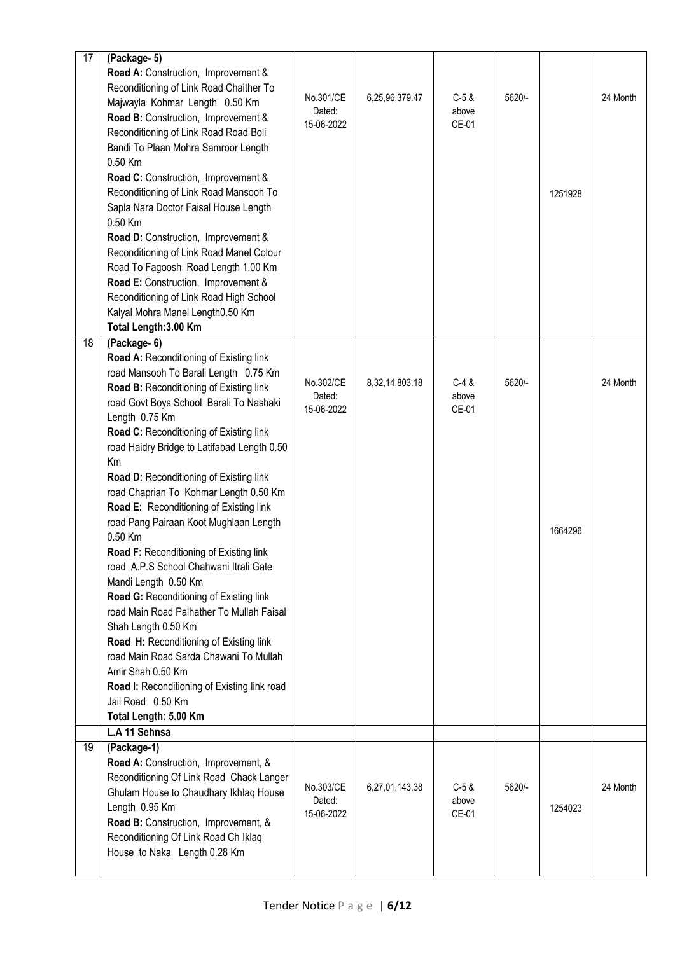| 17 | (Package- 5)                                     |            |                |         |        |         |          |
|----|--------------------------------------------------|------------|----------------|---------|--------|---------|----------|
|    | Road A: Construction, Improvement &              |            |                |         |        |         |          |
|    | Reconditioning of Link Road Chaither To          |            |                |         |        |         |          |
|    | Majwayla Kohmar Length 0.50 Km                   | No.301/CE  | 6,25,96,379.47 | $C-5$ & | 5620/- |         | 24 Month |
|    | Road B: Construction, Improvement &              | Dated:     |                | above   |        |         |          |
|    | Reconditioning of Link Road Road Boli            | 15-06-2022 |                | CE-01   |        |         |          |
|    | Bandi To Plaan Mohra Samroor Length              |            |                |         |        |         |          |
|    | 0.50 Km                                          |            |                |         |        |         |          |
|    | Road C: Construction, Improvement &              |            |                |         |        |         |          |
|    | Reconditioning of Link Road Mansooh To           |            |                |         |        |         |          |
|    |                                                  |            |                |         |        | 1251928 |          |
|    | Sapla Nara Doctor Faisal House Length<br>0.50 Km |            |                |         |        |         |          |
|    |                                                  |            |                |         |        |         |          |
|    | Road D: Construction, Improvement &              |            |                |         |        |         |          |
|    | Reconditioning of Link Road Manel Colour         |            |                |         |        |         |          |
|    | Road To Fagoosh Road Length 1.00 Km              |            |                |         |        |         |          |
|    | Road E: Construction, Improvement &              |            |                |         |        |         |          |
|    | Reconditioning of Link Road High School          |            |                |         |        |         |          |
|    | Kalyal Mohra Manel Length0.50 Km                 |            |                |         |        |         |          |
|    | Total Length: 3.00 Km                            |            |                |         |        |         |          |
| 18 | (Package- 6)                                     |            |                |         |        |         |          |
|    | Road A: Reconditioning of Existing link          |            |                |         |        |         |          |
|    | road Mansooh To Barali Length 0.75 Km            | No.302/CE  | 8,32,14,803.18 | $C-4$ & | 5620/- |         | 24 Month |
|    | Road B: Reconditioning of Existing link          | Dated:     |                | above   |        |         |          |
|    | road Govt Boys School Barali To Nashaki          | 15-06-2022 |                | CE-01   |        |         |          |
|    | Length 0.75 Km                                   |            |                |         |        |         |          |
|    | Road C: Reconditioning of Existing link          |            |                |         |        |         |          |
|    | road Haidry Bridge to Latifabad Length 0.50      |            |                |         |        |         |          |
|    | Km                                               |            |                |         |        |         |          |
|    | Road D: Reconditioning of Existing link          |            |                |         |        |         |          |
|    | road Chaprian To Kohmar Length 0.50 Km           |            |                |         |        |         |          |
|    | Road E: Reconditioning of Existing link          |            |                |         |        |         |          |
|    | road Pang Pairaan Koot Mughlaan Length           |            |                |         |        | 1664296 |          |
|    | 0.50 Km                                          |            |                |         |        |         |          |
|    | Road F: Reconditioning of Existing link          |            |                |         |        |         |          |
|    | road A.P.S School Chahwani Itrali Gate           |            |                |         |        |         |          |
|    | Mandi Length 0.50 Km                             |            |                |         |        |         |          |
|    | Road G: Reconditioning of Existing link          |            |                |         |        |         |          |
|    | road Main Road Palhather To Mullah Faisal        |            |                |         |        |         |          |
|    | Shah Length 0.50 Km                              |            |                |         |        |         |          |
|    | Road H: Reconditioning of Existing link          |            |                |         |        |         |          |
|    | road Main Road Sarda Chawani To Mullah           |            |                |         |        |         |          |
|    | Amir Shah 0.50 Km                                |            |                |         |        |         |          |
|    | Road I: Reconditioning of Existing link road     |            |                |         |        |         |          |
|    | Jail Road 0.50 Km                                |            |                |         |        |         |          |
|    | Total Length: 5.00 Km                            |            |                |         |        |         |          |
|    | L.A 11 Sehnsa                                    |            |                |         |        |         |          |
| 19 | (Package-1)                                      |            |                |         |        |         |          |
|    | Road A: Construction, Improvement, &             |            |                |         |        |         |          |
|    | Reconditioning Of Link Road Chack Langer         | No.303/CE  | 6,27,01,143.38 | $C-5$ & | 5620/- |         | 24 Month |
|    | Ghulam House to Chaudhary Ikhlaq House           | Dated:     |                | above   |        |         |          |
|    | Length 0.95 Km                                   | 15-06-2022 |                | CE-01   |        | 1254023 |          |
|    | Road B: Construction, Improvement, &             |            |                |         |        |         |          |
|    | Reconditioning Of Link Road Ch Iklaq             |            |                |         |        |         |          |
|    | House to Naka Length 0.28 Km                     |            |                |         |        |         |          |
|    |                                                  |            |                |         |        |         |          |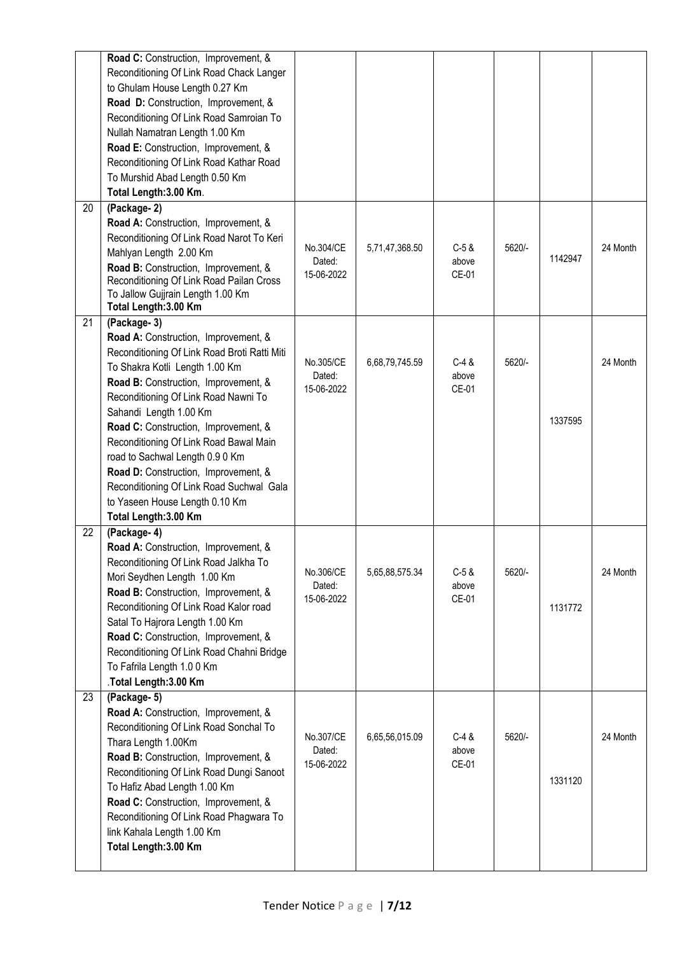|    | Road C: Construction, Improvement, &<br>Reconditioning Of Link Road Chack Langer<br>to Ghulam House Length 0.27 Km<br>Road D: Construction, Improvement, &<br>Reconditioning Of Link Road Samroian To<br>Nullah Namatran Length 1.00 Km<br>Road E: Construction, Improvement, &<br>Reconditioning Of Link Road Kathar Road<br>To Murshid Abad Length 0.50 Km<br>Total Length: 3.00 Km.                                                                                                                              |                                   |                |                           |        |         |          |
|----|---------------------------------------------------------------------------------------------------------------------------------------------------------------------------------------------------------------------------------------------------------------------------------------------------------------------------------------------------------------------------------------------------------------------------------------------------------------------------------------------------------------------|-----------------------------------|----------------|---------------------------|--------|---------|----------|
| 20 | (Package-2)<br>Road A: Construction, Improvement, &<br>Reconditioning Of Link Road Narot To Keri<br>Mahlyan Length 2.00 Km<br>Road B: Construction, Improvement, &<br>Reconditioning Of Link Road Pailan Cross<br>To Jallow Gujjrain Length 1.00 Km<br>Total Length: 3.00 Km                                                                                                                                                                                                                                        | No.304/CE<br>Dated:<br>15-06-2022 | 5,71,47,368.50 | $C-5$ &<br>above<br>CE-01 | 5620/- | 1142947 | 24 Month |
| 21 | (Package-3)<br>Road A: Construction, Improvement, &<br>Reconditioning Of Link Road Broti Ratti Miti<br>To Shakra Kotli Length 1.00 Km<br>Road B: Construction, Improvement, &<br>Reconditioning Of Link Road Nawni To<br>Sahandi Length 1.00 Km<br>Road C: Construction, Improvement, &<br>Reconditioning Of Link Road Bawal Main<br>road to Sachwal Length 0.9 0 Km<br>Road D: Construction, Improvement, &<br>Reconditioning Of Link Road Suchwal Gala<br>to Yaseen House Length 0.10 Km<br>Total Length: 3.00 Km | No.305/CE<br>Dated:<br>15-06-2022 | 6,68,79,745.59 | $C-4$ &<br>above<br>CE-01 | 5620/- | 1337595 | 24 Month |
| 22 | (Package-4)<br>Road A: Construction, Improvement, &<br>Reconditioning Of Link Road Jalkha To<br>Mori Seydhen Length 1.00 Km<br>Road B: Construction, Improvement, &<br>Reconditioning Of Link Road Kalor road<br>Satal To Hajrora Length 1.00 Km<br>Road C: Construction, Improvement, &<br>Reconditioning Of Link Road Chahni Bridge<br>To Fafrila Length 1.0 0 Km<br>.Total Length: 3.00 Km                                                                                                                       | No.306/CE<br>Dated:<br>15-06-2022 | 5,65,88,575.34 | $C-5$ &<br>above<br>CE-01 | 5620/- | 1131772 | 24 Month |
| 23 | (Package- 5)<br>Road A: Construction, Improvement, &<br>Reconditioning Of Link Road Sonchal To<br>Thara Length 1.00Km<br>Road B: Construction, Improvement, &<br>Reconditioning Of Link Road Dungi Sanoot<br>To Hafiz Abad Length 1.00 Km<br>Road C: Construction, Improvement, &<br>Reconditioning Of Link Road Phagwara To<br>link Kahala Length 1.00 Km<br>Total Length: 3.00 Km                                                                                                                                 | No.307/CE<br>Dated:<br>15-06-2022 | 6,65,56,015.09 | $C-4$ &<br>above<br>CE-01 | 5620/- | 1331120 | 24 Month |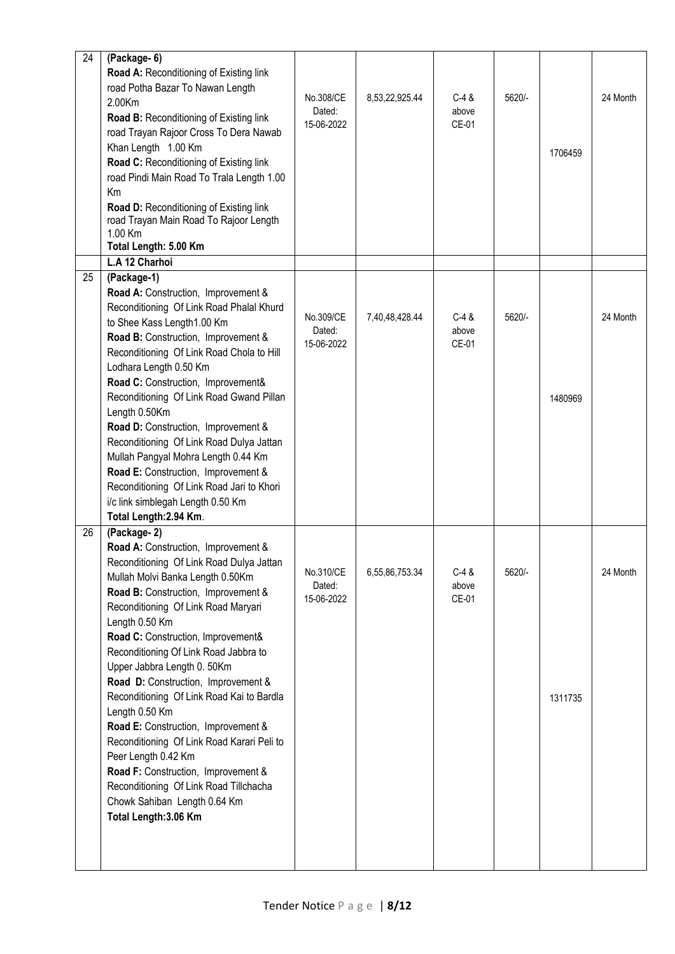| 24 | (Package- 6)<br>Road A: Reconditioning of Existing link<br>road Potha Bazar To Nawan Length<br>2.00Km<br>Road B: Reconditioning of Existing link<br>road Trayan Rajoor Cross To Dera Nawab<br>Khan Length 1.00 Km<br>Road C: Reconditioning of Existing link<br>road Pindi Main Road To Trala Length 1.00                                                                                                                                                                                                                                                                                                                                                                                                    | No.308/CE<br>Dated:<br>15-06-2022 | 8,53,22,925.44 | $C-4$ &<br>above<br>CE-01 | 5620/- | 1706459 | 24 Month |
|----|--------------------------------------------------------------------------------------------------------------------------------------------------------------------------------------------------------------------------------------------------------------------------------------------------------------------------------------------------------------------------------------------------------------------------------------------------------------------------------------------------------------------------------------------------------------------------------------------------------------------------------------------------------------------------------------------------------------|-----------------------------------|----------------|---------------------------|--------|---------|----------|
|    | Km<br>Road D: Reconditioning of Existing link<br>road Trayan Main Road To Rajoor Length<br>1.00 Km<br>Total Length: 5.00 Km                                                                                                                                                                                                                                                                                                                                                                                                                                                                                                                                                                                  |                                   |                |                           |        |         |          |
|    | L.A 12 Charhoi                                                                                                                                                                                                                                                                                                                                                                                                                                                                                                                                                                                                                                                                                               |                                   |                |                           |        |         |          |
| 25 | (Package-1)<br>Road A: Construction, Improvement &<br>Reconditioning Of Link Road Phalal Khurd<br>to Shee Kass Length1.00 Km<br>Road B: Construction, Improvement &<br>Reconditioning Of Link Road Chola to Hill<br>Lodhara Length 0.50 Km                                                                                                                                                                                                                                                                                                                                                                                                                                                                   | No.309/CE<br>Dated:<br>15-06-2022 | 7,40,48,428.44 | $C-4$ &<br>above<br>CE-01 | 5620/- |         | 24 Month |
|    | Road C: Construction, Improvement&<br>Reconditioning Of Link Road Gwand Pillan<br>Length 0.50Km<br>Road D: Construction, Improvement &<br>Reconditioning Of Link Road Dulya Jattan<br>Mullah Pangyal Mohra Length 0.44 Km<br>Road E: Construction, Improvement &<br>Reconditioning Of Link Road Jari to Khori<br>i/c link simblegah Length 0.50 Km<br>Total Length: 2.94 Km.                                                                                                                                                                                                                                                                                                                                 |                                   |                |                           |        | 1480969 |          |
| 26 | (Package-2)<br>Road A: Construction, Improvement &<br>Reconditioning Of Link Road Dulya Jattan<br>Mullah Molvi Banka Length 0.50Km<br>Road B: Construction, Improvement &<br>Reconditioning Of Link Road Maryari<br>Length 0.50 Km<br>Road C: Construction, Improvement&<br>Reconditioning Of Link Road Jabbra to<br>Upper Jabbra Length 0. 50Km<br>Road D: Construction, Improvement &<br>Reconditioning Of Link Road Kai to Bardla<br>Length 0.50 Km<br>Road E: Construction, Improvement &<br>Reconditioning Of Link Road Karari Peli to<br>Peer Length 0.42 Km<br>Road F: Construction, Improvement &<br>Reconditioning Of Link Road Tillchacha<br>Chowk Sahiban Length 0.64 Km<br>Total Length: 3.06 Km | No.310/CE<br>Dated:<br>15-06-2022 | 6,55,86,753.34 | $C-4$ &<br>above<br>CE-01 | 5620/- | 1311735 | 24 Month |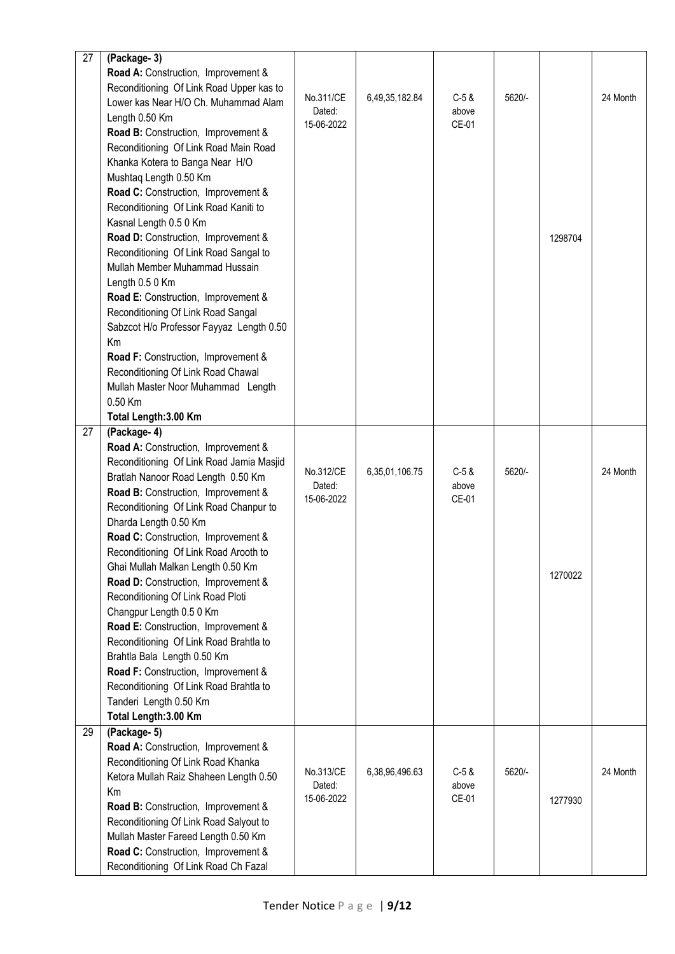| 27 | (Package-3)                                                      |                      |                |                |        |         |          |
|----|------------------------------------------------------------------|----------------------|----------------|----------------|--------|---------|----------|
|    | Road A: Construction, Improvement &                              |                      |                |                |        |         |          |
|    | Reconditioning Of Link Road Upper kas to                         |                      |                |                |        |         |          |
|    | Lower kas Near H/O Ch. Muhammad Alam                             | No.311/CE            | 6,49,35,182.84 | $C-5$ &        | 5620/- |         | 24 Month |
|    | Length 0.50 Km                                                   | Dated:<br>15-06-2022 |                | above<br>CE-01 |        |         |          |
|    | Road B: Construction, Improvement &                              |                      |                |                |        |         |          |
|    | Reconditioning Of Link Road Main Road                            |                      |                |                |        |         |          |
|    | Khanka Kotera to Banga Near H/O                                  |                      |                |                |        |         |          |
|    | Mushtaq Length 0.50 Km                                           |                      |                |                |        |         |          |
|    | Road C: Construction, Improvement &                              |                      |                |                |        |         |          |
|    | Reconditioning Of Link Road Kaniti to                            |                      |                |                |        |         |          |
|    | Kasnal Length 0.5 0 Km                                           |                      |                |                |        |         |          |
|    | Road D: Construction, Improvement &                              |                      |                |                |        | 1298704 |          |
|    | Reconditioning Of Link Road Sangal to                            |                      |                |                |        |         |          |
|    | Mullah Member Muhammad Hussain                                   |                      |                |                |        |         |          |
|    | Length 0.5 0 Km                                                  |                      |                |                |        |         |          |
|    | Road E: Construction, Improvement &                              |                      |                |                |        |         |          |
|    | Reconditioning Of Link Road Sangal                               |                      |                |                |        |         |          |
|    | Sabzcot H/o Professor Fayyaz Length 0.50                         |                      |                |                |        |         |          |
|    | Km                                                               |                      |                |                |        |         |          |
|    | Road F: Construction, Improvement &                              |                      |                |                |        |         |          |
|    | Reconditioning Of Link Road Chawal                               |                      |                |                |        |         |          |
|    | Mullah Master Noor Muhammad Length                               |                      |                |                |        |         |          |
|    | 0.50 Km                                                          |                      |                |                |        |         |          |
|    | Total Length: 3.00 Km                                            |                      |                |                |        |         |          |
| 27 | (Package-4)                                                      |                      |                |                |        |         |          |
|    | Road A: Construction, Improvement &                              |                      |                |                |        |         |          |
|    | Reconditioning Of Link Road Jamia Masjid                         | No.312/CE            | 6,35,01,106.75 | $C-5$ &        | 5620/- |         | 24 Month |
|    | Bratlah Nanoor Road Length 0.50 Km                               | Dated:               |                | above          |        |         |          |
|    | Road B: Construction, Improvement &                              | 15-06-2022           |                | CE-01          |        |         |          |
|    | Reconditioning Of Link Road Chanpur to                           |                      |                |                |        |         |          |
|    | Dharda Length 0.50 Km                                            |                      |                |                |        |         |          |
|    | Road C: Construction, Improvement &                              |                      |                |                |        |         |          |
|    | Reconditioning Of Link Road Arooth to                            |                      |                |                |        |         |          |
|    | Ghai Mullah Malkan Length 0.50 Km                                |                      |                |                |        | 1270022 |          |
|    | Road D: Construction, Improvement &                              |                      |                |                |        |         |          |
|    | Reconditioning Of Link Road Ploti                                |                      |                |                |        |         |          |
|    | Changpur Length 0.5 0 Km                                         |                      |                |                |        |         |          |
|    | Road E: Construction, Improvement &                              |                      |                |                |        |         |          |
|    | Reconditioning Of Link Road Brahtla to                           |                      |                |                |        |         |          |
|    | Brahtla Bala Length 0.50 Km                                      |                      |                |                |        |         |          |
|    | Road F: Construction, Improvement &                              |                      |                |                |        |         |          |
|    | Reconditioning Of Link Road Brahtla to<br>Tanderi Length 0.50 Km |                      |                |                |        |         |          |
|    | Total Length: 3.00 Km                                            |                      |                |                |        |         |          |
| 29 | (Package- 5)                                                     |                      |                |                |        |         |          |
|    | Road A: Construction, Improvement &                              |                      |                |                |        |         |          |
|    | Reconditioning Of Link Road Khanka                               |                      |                |                |        |         |          |
|    | Ketora Mullah Raiz Shaheen Length 0.50                           | No.313/CE            | 6,38,96,496.63 | $C-5$ &        | 5620/- |         | 24 Month |
|    | Km                                                               | Dated:               |                | above          |        |         |          |
|    | Road B: Construction, Improvement &                              | 15-06-2022           |                | CE-01          |        | 1277930 |          |
|    | Reconditioning Of Link Road Salyout to                           |                      |                |                |        |         |          |
|    | Mullah Master Fareed Length 0.50 Km                              |                      |                |                |        |         |          |
|    | Road C: Construction, Improvement &                              |                      |                |                |        |         |          |
|    | Reconditioning Of Link Road Ch Fazal                             |                      |                |                |        |         |          |
|    |                                                                  |                      |                |                |        |         |          |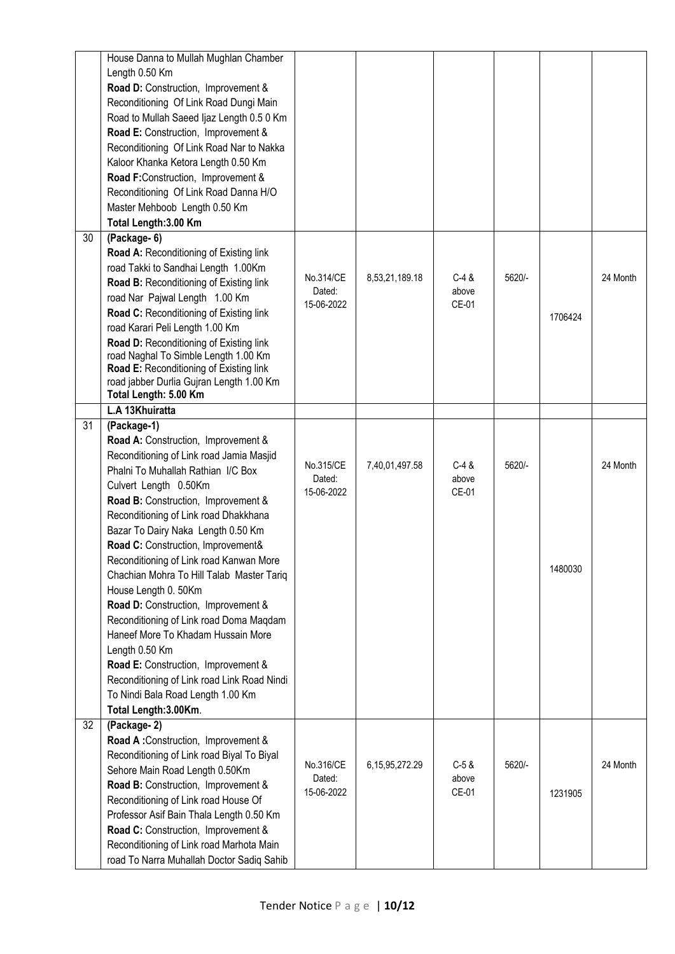|    | House Danna to Mullah Mughlan Chamber<br>Length 0.50 Km<br>Road D: Construction, Improvement &<br>Reconditioning Of Link Road Dungi Main<br>Road to Mullah Saeed Ijaz Length 0.5 0 Km<br>Road E: Construction, Improvement &<br>Reconditioning Of Link Road Nar to Nakka<br>Kaloor Khanka Ketora Length 0.50 Km<br>Road F:Construction, Improvement &<br>Reconditioning Of Link Road Danna H/O                                                                                                                                                                                                                                                                                                                                          |                                   |                    |                           |        |         |          |
|----|-----------------------------------------------------------------------------------------------------------------------------------------------------------------------------------------------------------------------------------------------------------------------------------------------------------------------------------------------------------------------------------------------------------------------------------------------------------------------------------------------------------------------------------------------------------------------------------------------------------------------------------------------------------------------------------------------------------------------------------------|-----------------------------------|--------------------|---------------------------|--------|---------|----------|
|    | Master Mehboob Length 0.50 Km<br>Total Length: 3.00 Km                                                                                                                                                                                                                                                                                                                                                                                                                                                                                                                                                                                                                                                                                  |                                   |                    |                           |        |         |          |
| 30 | (Package- 6)<br>Road A: Reconditioning of Existing link<br>road Takki to Sandhai Length 1.00Km<br>Road B: Reconditioning of Existing link<br>road Nar Pajwal Length 1.00 Km<br>Road C: Reconditioning of Existing link<br>road Karari Peli Length 1.00 Km<br>Road D: Reconditioning of Existing link<br>road Naghal To Simble Length 1.00 Km<br>Road E: Reconditioning of Existing link<br>road jabber Durlia Gujran Length 1.00 Km<br>Total Length: 5.00 Km                                                                                                                                                                                                                                                                            | No.314/CE<br>Dated:<br>15-06-2022 | 8,53,21,189.18     | $C-4$ &<br>above<br>CE-01 | 5620/- | 1706424 | 24 Month |
|    | L.A 13Khuiratta                                                                                                                                                                                                                                                                                                                                                                                                                                                                                                                                                                                                                                                                                                                         |                                   |                    |                           |        |         |          |
| 31 | (Package-1)<br>Road A: Construction, Improvement &<br>Reconditioning of Link road Jamia Masjid<br>Phalni To Muhallah Rathian I/C Box<br>Culvert Length 0.50Km<br>Road B: Construction, Improvement &<br>Reconditioning of Link road Dhakkhana<br>Bazar To Dairy Naka Length 0.50 Km<br>Road C: Construction, Improvement&<br>Reconditioning of Link road Kanwan More<br>Chachian Mohra To Hill Talab Master Tariq<br>House Length 0. 50Km<br>Road D: Construction, Improvement &<br>Reconditioning of Link road Doma Maqdam<br>Haneef More To Khadam Hussain More<br>Length 0.50 Km<br>Road E: Construction, Improvement &<br>Reconditioning of Link road Link Road Nindi<br>To Nindi Bala Road Length 1.00 Km<br>Total Length: 3.00Km. | No.315/CE<br>Dated:<br>15-06-2022 | 7,40,01,497.58     | $C-4$ &<br>above<br>CE-01 | 5620/- | 1480030 | 24 Month |
| 32 | (Package-2)<br>Road A: Construction, Improvement &<br>Reconditioning of Link road Biyal To Biyal<br>Sehore Main Road Length 0.50Km<br>Road B: Construction, Improvement &<br>Reconditioning of Link road House Of<br>Professor Asif Bain Thala Length 0.50 Km<br>Road C: Construction, Improvement &<br>Reconditioning of Link road Marhota Main<br>road To Narra Muhallah Doctor Sadiq Sahib                                                                                                                                                                                                                                                                                                                                           | No.316/CE<br>Dated:<br>15-06-2022 | 6, 15, 95, 272. 29 | $C-5$ &<br>above<br>CE-01 | 5620/- | 1231905 | 24 Month |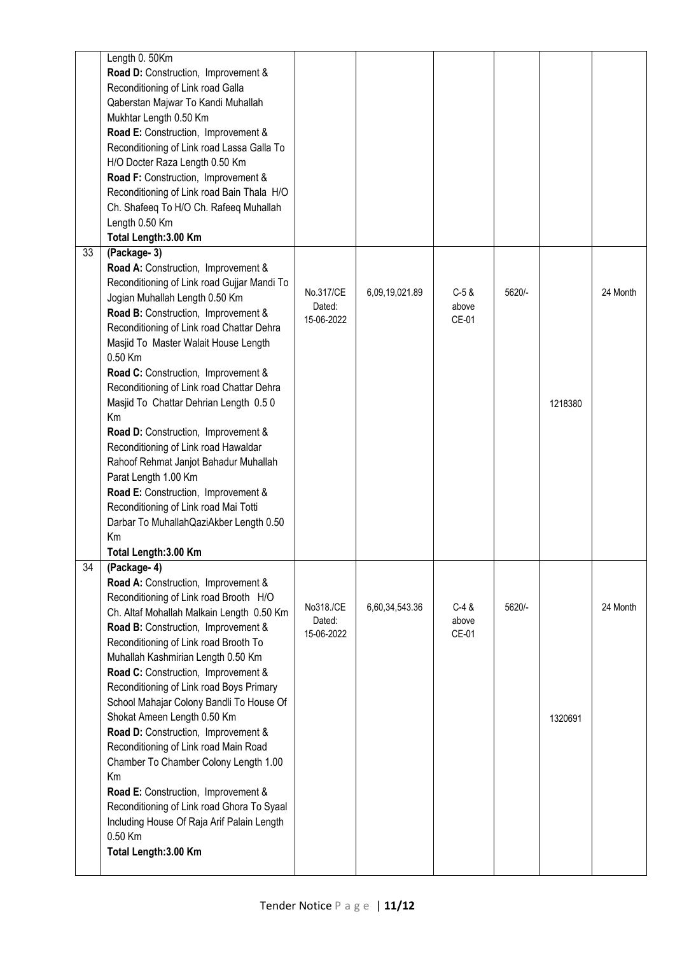|                 | Length 0. 50Km<br>Road D: Construction, Improvement &<br>Reconditioning of Link road Galla<br>Qaberstan Majwar To Kandi Muhallah<br>Mukhtar Length 0.50 Km<br>Road E: Construction, Improvement &<br>Reconditioning of Link road Lassa Galla To<br>H/O Docter Raza Length 0.50 Km<br>Road F: Construction, Improvement &<br>Reconditioning of Link road Bain Thala H/O<br>Ch. Shafeeq To H/O Ch. Rafeeq Muhallah<br>Length 0.50 Km<br>Total Length: 3.00 Km                                                                                                                                                                                                                                                                         |                                   |                |                           |        |         |          |
|-----------------|-------------------------------------------------------------------------------------------------------------------------------------------------------------------------------------------------------------------------------------------------------------------------------------------------------------------------------------------------------------------------------------------------------------------------------------------------------------------------------------------------------------------------------------------------------------------------------------------------------------------------------------------------------------------------------------------------------------------------------------|-----------------------------------|----------------|---------------------------|--------|---------|----------|
| 33              | (Package-3)<br>Road A: Construction, Improvement &<br>Reconditioning of Link road Gujjar Mandi To<br>Jogian Muhallah Length 0.50 Km<br>Road B: Construction, Improvement &<br>Reconditioning of Link road Chattar Dehra<br>Masjid To Master Walait House Length<br>0.50 Km<br>Road C: Construction, Improvement &<br>Reconditioning of Link road Chattar Dehra<br>Masjid To Chattar Dehrian Length 0.50<br>Km<br>Road D: Construction, Improvement &<br>Reconditioning of Link road Hawaldar<br>Rahoof Rehmat Janjot Bahadur Muhallah<br>Parat Length 1.00 Km<br>Road E: Construction, Improvement &<br>Reconditioning of Link road Mai Totti<br>Darbar To Muhallah QaziAkber Length 0.50<br>Km<br>Total Length: 3.00 Km            | No.317/CE<br>Dated:<br>15-06-2022 | 6,09,19,021.89 | $C-5$ &<br>above<br>CE-01 | 5620/- | 1218380 | 24 Month |
| $\overline{34}$ | (Package-4)<br>Road A: Construction, Improvement &<br>Reconditioning of Link road Brooth H/O<br>Ch. Altaf Mohallah Malkain Length 0.50 Km<br>Road B: Construction, Improvement &<br>Reconditioning of Link road Brooth To<br>Muhallah Kashmirian Length 0.50 Km<br>Road C: Construction, Improvement &<br>Reconditioning of Link road Boys Primary<br>School Mahajar Colony Bandli To House Of<br>Shokat Ameen Length 0.50 Km<br>Road D: Construction, Improvement &<br>Reconditioning of Link road Main Road<br>Chamber To Chamber Colony Length 1.00<br>Km<br>Road E: Construction, Improvement &<br>Reconditioning of Link road Ghora To Syaal<br>Including House Of Raja Arif Palain Length<br>0.50 Km<br>Total Length: 3.00 Km | No318./CE<br>Dated:<br>15-06-2022 | 6,60,34,543.36 | $C-4$ &<br>above<br>CE-01 | 5620/- | 1320691 | 24 Month |